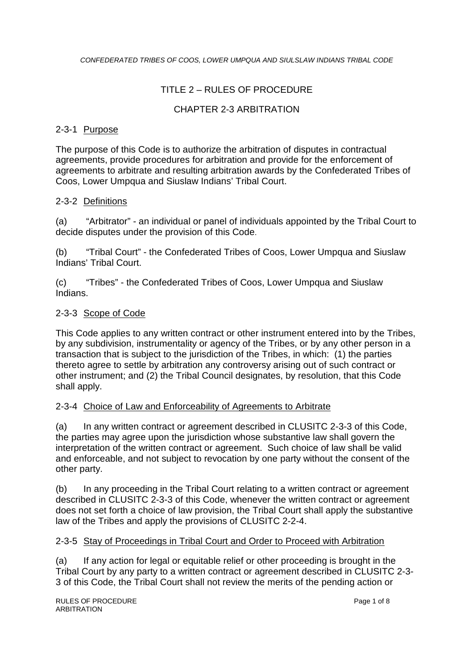# TITLE 2 – RULES OF PROCEDURE

## CHAPTER 2-3 ARBITRATION

#### 2-3-1 Purpose

The purpose of this Code is to authorize the arbitration of disputes in contractual agreements, provide procedures for arbitration and provide for the enforcement of agreements to arbitrate and resulting arbitration awards by the Confederated Tribes of Coos, Lower Umpqua and Siuslaw Indians' Tribal Court.

## 2-3-2 Definitions

(a) "Arbitrator" - an individual or panel of individuals appointed by the Tribal Court to decide disputes under the provision of this Code.

(b) "Tribal Court" - the Confederated Tribes of Coos, Lower Umpqua and Siuslaw Indians' Tribal Court.

(c) "Tribes" - the Confederated Tribes of Coos, Lower Umpqua and Siuslaw Indians.

## 2-3-3 Scope of Code

This Code applies to any written contract or other instrument entered into by the Tribes, by any subdivision, instrumentality or agency of the Tribes, or by any other person in a transaction that is subject to the jurisdiction of the Tribes, in which: (1) the parties thereto agree to settle by arbitration any controversy arising out of such contract or other instrument; and (2) the Tribal Council designates, by resolution, that this Code shall apply.

#### 2-3-4 Choice of Law and Enforceability of Agreements to Arbitrate

(a) In any written contract or agreement described in CLUSITC 2-3-3 of this Code, the parties may agree upon the jurisdiction whose substantive law shall govern the interpretation of the written contract or agreement. Such choice of law shall be valid and enforceable, and not subject to revocation by one party without the consent of the other party.

(b) In any proceeding in the Tribal Court relating to a written contract or agreement described in CLUSITC 2-3-3 of this Code, whenever the written contract or agreement does not set forth a choice of law provision, the Tribal Court shall apply the substantive law of the Tribes and apply the provisions of CLUSITC 2-2-4.

# 2-3-5 Stay of Proceedings in Tribal Court and Order to Proceed with Arbitration

(a) If any action for legal or equitable relief or other proceeding is brought in the Tribal Court by any party to a written contract or agreement described in CLUSITC 2-3- 3 of this Code, the Tribal Court shall not review the merits of the pending action or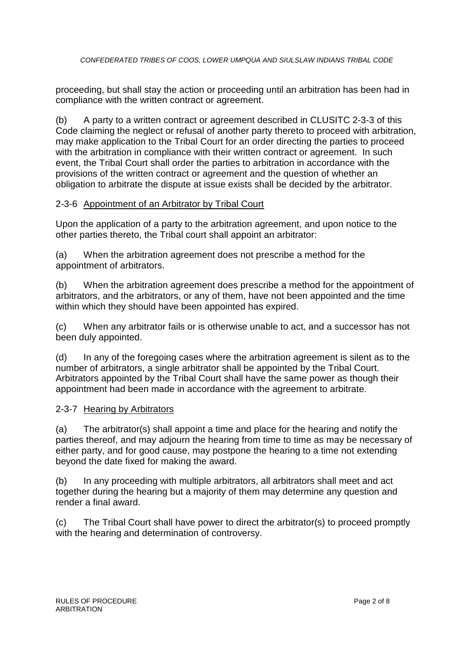proceeding, but shall stay the action or proceeding until an arbitration has been had in compliance with the written contract or agreement.

(b) A party to a written contract or agreement described in CLUSITC 2-3-3 of this Code claiming the neglect or refusal of another party thereto to proceed with arbitration, may make application to the Tribal Court for an order directing the parties to proceed with the arbitration in compliance with their written contract or agreement. In such event, the Tribal Court shall order the parties to arbitration in accordance with the provisions of the written contract or agreement and the question of whether an obligation to arbitrate the dispute at issue exists shall be decided by the arbitrator.

## 2-3-6 Appointment of an Arbitrator by Tribal Court

Upon the application of a party to the arbitration agreement, and upon notice to the other parties thereto, the Tribal court shall appoint an arbitrator:

(a) When the arbitration agreement does not prescribe a method for the appointment of arbitrators.

(b) When the arbitration agreement does prescribe a method for the appointment of arbitrators, and the arbitrators, or any of them, have not been appointed and the time within which they should have been appointed has expired.

(c) When any arbitrator fails or is otherwise unable to act, and a successor has not been duly appointed.

(d) In any of the foregoing cases where the arbitration agreement is silent as to the number of arbitrators, a single arbitrator shall be appointed by the Tribal Court. Arbitrators appointed by the Tribal Court shall have the same power as though their appointment had been made in accordance with the agreement to arbitrate.

#### 2-3-7 Hearing by Arbitrators

(a) The arbitrator(s) shall appoint a time and place for the hearing and notify the parties thereof, and may adjourn the hearing from time to time as may be necessary of either party, and for good cause, may postpone the hearing to a time not extending beyond the date fixed for making the award.

(b) In any proceeding with multiple arbitrators, all arbitrators shall meet and act together during the hearing but a majority of them may determine any question and render a final award.

(c) The Tribal Court shall have power to direct the arbitrator(s) to proceed promptly with the hearing and determination of controversy.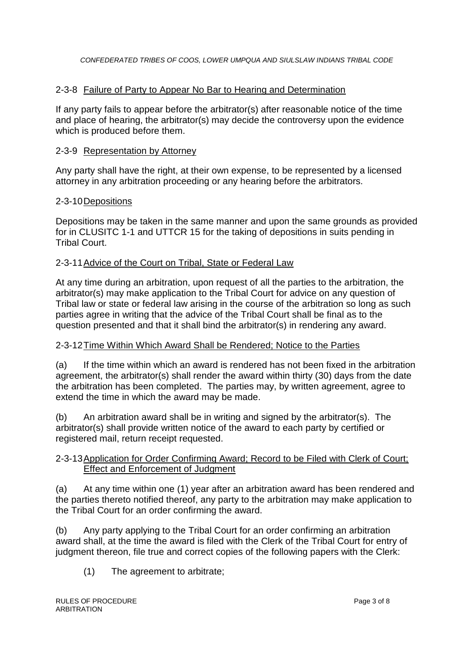### 2-3-8 Failure of Party to Appear No Bar to Hearing and Determination

If any party fails to appear before the arbitrator(s) after reasonable notice of the time and place of hearing, the arbitrator(s) may decide the controversy upon the evidence which is produced before them.

#### 2-3-9 Representation by Attorney

Any party shall have the right, at their own expense, to be represented by a licensed attorney in any arbitration proceeding or any hearing before the arbitrators.

#### 2-3-10Depositions

Depositions may be taken in the same manner and upon the same grounds as provided for in CLUSITC 1-1 and UTTCR 15 for the taking of depositions in suits pending in Tribal Court.

#### 2-3-11Advice of the Court on Tribal, State or Federal Law

At any time during an arbitration, upon request of all the parties to the arbitration, the arbitrator(s) may make application to the Tribal Court for advice on any question of Tribal law or state or federal law arising in the course of the arbitration so long as such parties agree in writing that the advice of the Tribal Court shall be final as to the question presented and that it shall bind the arbitrator(s) in rendering any award.

#### 2-3-12Time Within Which Award Shall be Rendered; Notice to the Parties

(a) If the time within which an award is rendered has not been fixed in the arbitration agreement, the arbitrator(s) shall render the award within thirty (30) days from the date the arbitration has been completed. The parties may, by written agreement, agree to extend the time in which the award may be made.

(b) An arbitration award shall be in writing and signed by the arbitrator(s). The arbitrator(s) shall provide written notice of the award to each party by certified or registered mail, return receipt requested.

#### 2-3-13Application for Order Confirming Award; Record to be Filed with Clerk of Court; Effect and Enforcement of Judgment

(a) At any time within one (1) year after an arbitration award has been rendered and the parties thereto notified thereof, any party to the arbitration may make application to the Tribal Court for an order confirming the award.

(b) Any party applying to the Tribal Court for an order confirming an arbitration award shall, at the time the award is filed with the Clerk of the Tribal Court for entry of judgment thereon, file true and correct copies of the following papers with the Clerk:

(1) The agreement to arbitrate;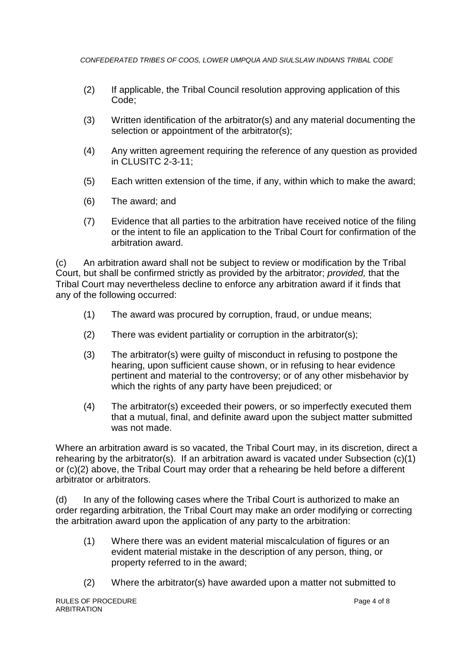- (2) If applicable, the Tribal Council resolution approving application of this Code;
- (3) Written identification of the arbitrator(s) and any material documenting the selection or appointment of the arbitrator(s);
- (4) Any written agreement requiring the reference of any question as provided in CLUSITC 2-3-11;
- (5) Each written extension of the time, if any, within which to make the award;
- (6) The award; and
- (7) Evidence that all parties to the arbitration have received notice of the filing or the intent to file an application to the Tribal Court for confirmation of the arbitration award.

(c) An arbitration award shall not be subject to review or modification by the Tribal Court, but shall be confirmed strictly as provided by the arbitrator; *provided,* that the Tribal Court may nevertheless decline to enforce any arbitration award if it finds that any of the following occurred:

- (1) The award was procured by corruption, fraud, or undue means;
- (2) There was evident partiality or corruption in the arbitrator(s);
- (3) The arbitrator(s) were guilty of misconduct in refusing to postpone the hearing, upon sufficient cause shown, or in refusing to hear evidence pertinent and material to the controversy; or of any other misbehavior by which the rights of any party have been prejudiced; or
- (4) The arbitrator(s) exceeded their powers, or so imperfectly executed them that a mutual, final, and definite award upon the subject matter submitted was not made.

Where an arbitration award is so vacated, the Tribal Court may, in its discretion, direct a rehearing by the arbitrator(s). If an arbitration award is vacated under Subsection (c)(1) or (c)(2) above, the Tribal Court may order that a rehearing be held before a different arbitrator or arbitrators.

(d) In any of the following cases where the Tribal Court is authorized to make an order regarding arbitration, the Tribal Court may make an order modifying or correcting the arbitration award upon the application of any party to the arbitration:

- (1) Where there was an evident material miscalculation of figures or an evident material mistake in the description of any person, thing, or property referred to in the award;
- (2) Where the arbitrator(s) have awarded upon a matter not submitted to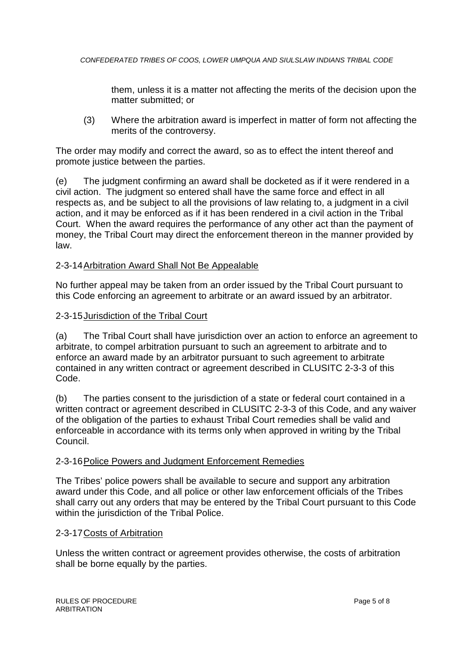them, unless it is a matter not affecting the merits of the decision upon the matter submitted; or

(3) Where the arbitration award is imperfect in matter of form not affecting the merits of the controversy.

The order may modify and correct the award, so as to effect the intent thereof and promote justice between the parties.

(e) The judgment confirming an award shall be docketed as if it were rendered in a civil action. The judgment so entered shall have the same force and effect in all respects as, and be subject to all the provisions of law relating to, a judgment in a civil action, and it may be enforced as if it has been rendered in a civil action in the Tribal Court. When the award requires the performance of any other act than the payment of money, the Tribal Court may direct the enforcement thereon in the manner provided by law.

#### 2-3-14Arbitration Award Shall Not Be Appealable

No further appeal may be taken from an order issued by the Tribal Court pursuant to this Code enforcing an agreement to arbitrate or an award issued by an arbitrator.

#### 2-3-15Jurisdiction of the Tribal Court

(a) The Tribal Court shall have jurisdiction over an action to enforce an agreement to arbitrate, to compel arbitration pursuant to such an agreement to arbitrate and to enforce an award made by an arbitrator pursuant to such agreement to arbitrate contained in any written contract or agreement described in CLUSITC 2-3-3 of this Code.

(b) The parties consent to the jurisdiction of a state or federal court contained in a written contract or agreement described in CLUSITC 2-3-3 of this Code, and any waiver of the obligation of the parties to exhaust Tribal Court remedies shall be valid and enforceable in accordance with its terms only when approved in writing by the Tribal Council.

#### 2-3-16Police Powers and Judgment Enforcement Remedies

The Tribes' police powers shall be available to secure and support any arbitration award under this Code, and all police or other law enforcement officials of the Tribes shall carry out any orders that may be entered by the Tribal Court pursuant to this Code within the jurisdiction of the Tribal Police.

#### 2-3-17Costs of Arbitration

Unless the written contract or agreement provides otherwise, the costs of arbitration shall be borne equally by the parties.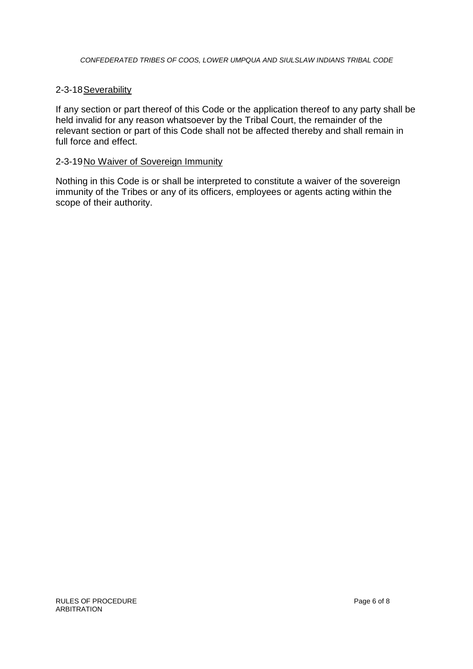#### 2-3-18 Severability

If any section or part thereof of this Code or the application thereof to any party shall be held invalid for any reason whatsoever by the Tribal Court, the remainder of the relevant section or part of this Code shall not be affected thereby and shall remain in full force and effect.

#### 2-3-19No Waiver of Sovereign Immunity

Nothing in this Code is or shall be interpreted to constitute a waiver of the sovereign immunity of the Tribes or any of its officers, employees or agents acting within the scope of their authority.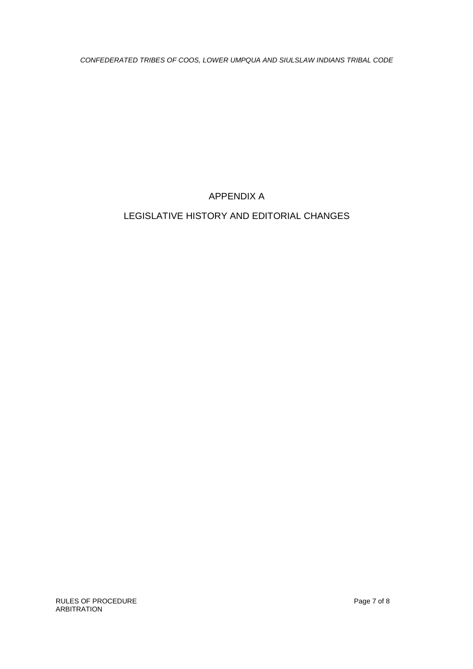APPENDIX A

# LEGISLATIVE HISTORY AND EDITORIAL CHANGES

RULES OF PROCEDURE **Page 7 of 8** ARBITRATION